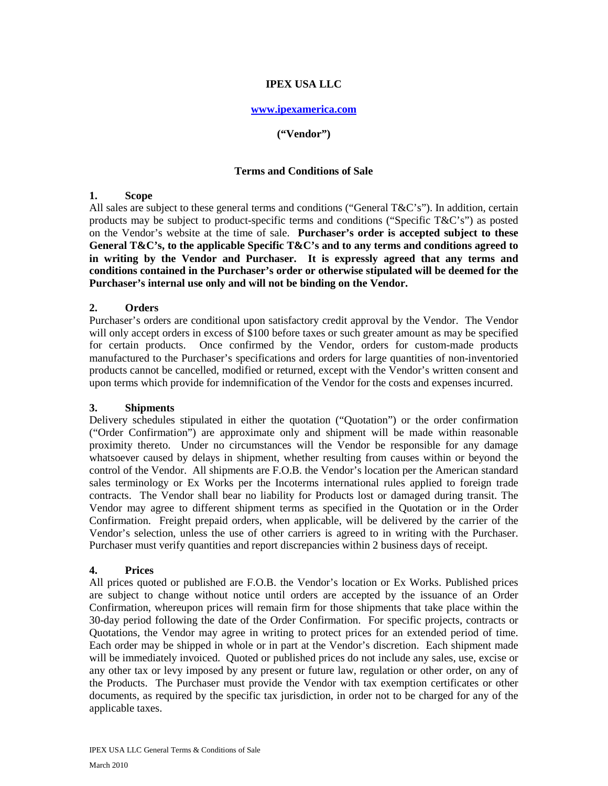# **IPEX USA LLC**

### **www.ipexamerica.com**

### **("Vendor")**

#### **Terms and Conditions of Sale**

### **1. Scope**

All sales are subject to these general terms and conditions ("General T&C's"). In addition, certain products may be subject to product-specific terms and conditions ("Specific T&C's") as posted on the Vendor's website at the time of sale. **Purchaser's order is accepted subject to these General T&C's, to the applicable Specific T&C's and to any terms and conditions agreed to in writing by the Vendor and Purchaser. It is expressly agreed that any terms and conditions contained in the Purchaser's order or otherwise stipulated will be deemed for the Purchaser's internal use only and will not be binding on the Vendor.**

### **2. Orders**

Purchaser's orders are conditional upon satisfactory credit approval by the Vendor. The Vendor will only accept orders in excess of \$100 before taxes or such greater amount as may be specified for certain products. Once confirmed by the Vendor, orders for custom-made products manufactured to the Purchaser's specifications and orders for large quantities of non-inventoried products cannot be cancelled, modified or returned, except with the Vendor's written consent and upon terms which provide for indemnification of the Vendor for the costs and expenses incurred.

### **3. Shipments**

Delivery schedules stipulated in either the quotation ("Quotation") or the order confirmation ("Order Confirmation") are approximate only and shipment will be made within reasonable proximity thereto. Under no circumstances will the Vendor be responsible for any damage whatsoever caused by delays in shipment, whether resulting from causes within or beyond the control of the Vendor. All shipments are F.O.B. the Vendor's location per the American standard sales terminology or Ex Works per the Incoterms international rules applied to foreign trade contracts. The Vendor shall bear no liability for Products lost or damaged during transit. The Vendor may agree to different shipment terms as specified in the Quotation or in the Order Confirmation. Freight prepaid orders, when applicable, will be delivered by the carrier of the Vendor's selection, unless the use of other carriers is agreed to in writing with the Purchaser. Purchaser must verify quantities and report discrepancies within 2 business days of receipt.

### **4. Prices**

All prices quoted or published are F.O.B. the Vendor's location or Ex Works. Published prices are subject to change without notice until orders are accepted by the issuance of an Order Confirmation, whereupon prices will remain firm for those shipments that take place within the 30-day period following the date of the Order Confirmation. For specific projects, contracts or Quotations, the Vendor may agree in writing to protect prices for an extended period of time. Each order may be shipped in whole or in part at the Vendor's discretion. Each shipment made will be immediately invoiced. Quoted or published prices do not include any sales, use, excise or any other tax or levy imposed by any present or future law, regulation or other order, on any of the Products. The Purchaser must provide the Vendor with tax exemption certificates or other documents, as required by the specific tax jurisdiction, in order not to be charged for any of the applicable taxes.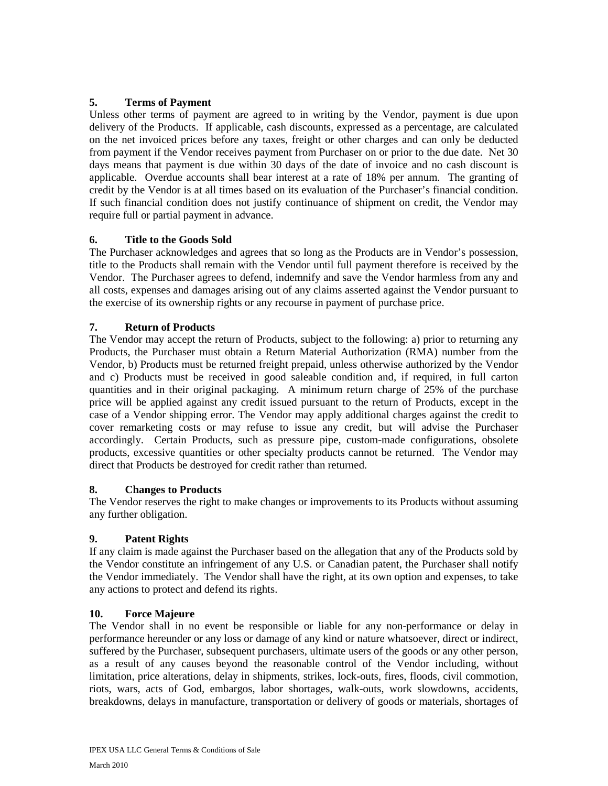# **5. Terms of Payment**

Unless other terms of payment are agreed to in writing by the Vendor, payment is due upon delivery of the Products. If applicable, cash discounts, expressed as a percentage, are calculated on the net invoiced prices before any taxes, freight or other charges and can only be deducted from payment if the Vendor receives payment from Purchaser on or prior to the due date. Net 30 days means that payment is due within 30 days of the date of invoice and no cash discount is applicable. Overdue accounts shall bear interest at a rate of 18% per annum. The granting of credit by the Vendor is at all times based on its evaluation of the Purchaser's financial condition. If such financial condition does not justify continuance of shipment on credit, the Vendor may require full or partial payment in advance.

# **6. Title to the Goods Sold**

The Purchaser acknowledges and agrees that so long as the Products are in Vendor's possession, title to the Products shall remain with the Vendor until full payment therefore is received by the Vendor. The Purchaser agrees to defend, indemnify and save the Vendor harmless from any and all costs, expenses and damages arising out of any claims asserted against the Vendor pursuant to the exercise of its ownership rights or any recourse in payment of purchase price.

### **7. Return of Products**

The Vendor may accept the return of Products, subject to the following: a) prior to returning any Products, the Purchaser must obtain a Return Material Authorization (RMA) number from the Vendor, b) Products must be returned freight prepaid, unless otherwise authorized by the Vendor and c) Products must be received in good saleable condition and, if required, in full carton quantities and in their original packaging. A minimum return charge of 25% of the purchase price will be applied against any credit issued pursuant to the return of Products, except in the case of a Vendor shipping error. The Vendor may apply additional charges against the credit to cover remarketing costs or may refuse to issue any credit, but will advise the Purchaser accordingly. Certain Products, such as pressure pipe, custom-made configurations, obsolete products, excessive quantities or other specialty products cannot be returned. The Vendor may direct that Products be destroyed for credit rather than returned.

### **8. Changes to Products**

The Vendor reserves the right to make changes or improvements to its Products without assuming any further obligation.

### **9. Patent Rights**

If any claim is made against the Purchaser based on the allegation that any of the Products sold by the Vendor constitute an infringement of any U.S. or Canadian patent, the Purchaser shall notify the Vendor immediately. The Vendor shall have the right, at its own option and expenses, to take any actions to protect and defend its rights.

### **10. Force Majeure**

The Vendor shall in no event be responsible or liable for any non-performance or delay in performance hereunder or any loss or damage of any kind or nature whatsoever, direct or indirect, suffered by the Purchaser, subsequent purchasers, ultimate users of the goods or any other person, as a result of any causes beyond the reasonable control of the Vendor including, without limitation, price alterations, delay in shipments, strikes, lock-outs, fires, floods, civil commotion, riots, wars, acts of God, embargos, labor shortages, walk-outs, work slowdowns, accidents, breakdowns, delays in manufacture, transportation or delivery of goods or materials, shortages of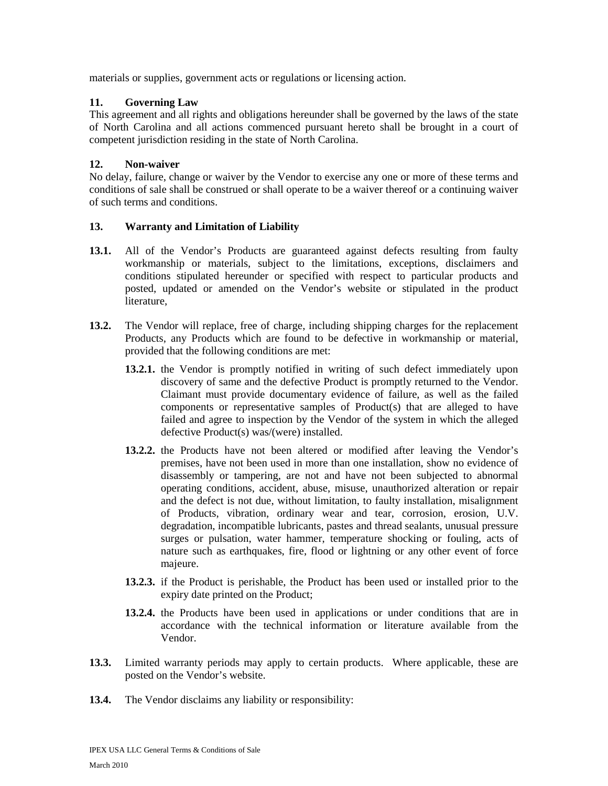materials or supplies, government acts or regulations or licensing action.

### **11. Governing Law**

This agreement and all rights and obligations hereunder shall be governed by the laws of the state of North Carolina and all actions commenced pursuant hereto shall be brought in a court of competent jurisdiction residing in the state of North Carolina.

# **12. Non-waiver**

No delay, failure, change or waiver by the Vendor to exercise any one or more of these terms and conditions of sale shall be construed or shall operate to be a waiver thereof or a continuing waiver of such terms and conditions.

# **13. Warranty and Limitation of Liability**

- 13.1. All of the Vendor's Products are guaranteed against defects resulting from faulty workmanship or materials, subject to the limitations, exceptions, disclaimers and conditions stipulated hereunder or specified with respect to particular products and posted, updated or amended on the Vendor's website or stipulated in the product literature,
- **13.2.** The Vendor will replace, free of charge, including shipping charges for the replacement Products, any Products which are found to be defective in workmanship or material, provided that the following conditions are met:
	- **13.2.1.** the Vendor is promptly notified in writing of such defect immediately upon discovery of same and the defective Product is promptly returned to the Vendor. Claimant must provide documentary evidence of failure, as well as the failed components or representative samples of Product(s) that are alleged to have failed and agree to inspection by the Vendor of the system in which the alleged defective Product(s) was/(were) installed.
	- **13.2.2.** the Products have not been altered or modified after leaving the Vendor's premises, have not been used in more than one installation, show no evidence of disassembly or tampering, are not and have not been subjected to abnormal operating conditions, accident, abuse, misuse, unauthorized alteration or repair and the defect is not due, without limitation, to faulty installation, misalignment of Products, vibration, ordinary wear and tear, corrosion, erosion, U.V. degradation, incompatible lubricants, pastes and thread sealants, unusual pressure surges or pulsation, water hammer, temperature shocking or fouling, acts of nature such as earthquakes, fire, flood or lightning or any other event of force majeure.
	- **13.2.3.** if the Product is perishable, the Product has been used or installed prior to the expiry date printed on the Product;
	- **13.2.4.** the Products have been used in applications or under conditions that are in accordance with the technical information or literature available from the Vendor.
- **13.3.** Limited warranty periods may apply to certain products. Where applicable, these are posted on the Vendor's website.
- **13.4.** The Vendor disclaims any liability or responsibility: